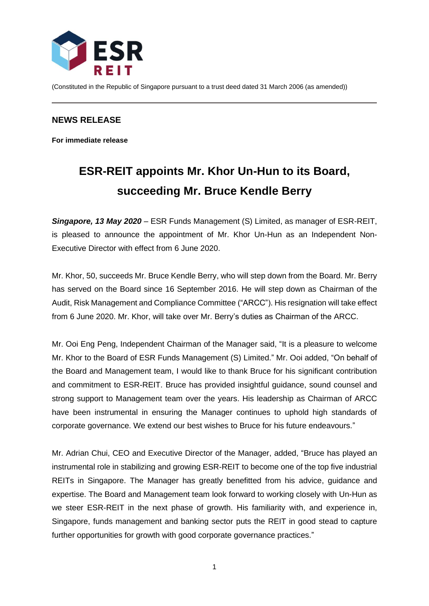

(Constituted in the Republic of Singapore pursuant to a trust deed dated 31 March 2006 (as amended))

## **NEWS RELEASE**

**For immediate release**

# **ESR-REIT appoints Mr. Khor Un-Hun to its Board, succeeding Mr. Bruce Kendle Berry**

*Singapore, 13 May 2020* – ESR Funds Management (S) Limited, as manager of ESR-REIT, is pleased to announce the appointment of Mr. Khor Un-Hun as an Independent Non-Executive Director with effect from 6 June 2020.

Mr. Khor, 50, succeeds Mr. Bruce Kendle Berry, who will step down from the Board. Mr. Berry has served on the Board since 16 September 2016. He will step down as Chairman of the Audit, Risk Management and Compliance Committee ("ARCC"). His resignation will take effect from 6 June 2020. Mr. Khor, will take over Mr. Berry's duties as Chairman of the ARCC.

Mr. Ooi Eng Peng, Independent Chairman of the Manager said, "It is a pleasure to welcome Mr. Khor to the Board of ESR Funds Management (S) Limited." Mr. Ooi added, "On behalf of the Board and Management team, I would like to thank Bruce for his significant contribution and commitment to ESR-REIT. Bruce has provided insightful guidance, sound counsel and strong support to Management team over the years. His leadership as Chairman of ARCC have been instrumental in ensuring the Manager continues to uphold high standards of corporate governance. We extend our best wishes to Bruce for his future endeavours."

Mr. Adrian Chui, CEO and Executive Director of the Manager, added, "Bruce has played an instrumental role in stabilizing and growing ESR-REIT to become one of the top five industrial REITs in Singapore. The Manager has greatly benefitted from his advice, guidance and expertise. The Board and Management team look forward to working closely with Un-Hun as we steer ESR-REIT in the next phase of growth. His familiarity with, and experience in, Singapore, funds management and banking sector puts the REIT in good stead to capture further opportunities for growth with good corporate governance practices."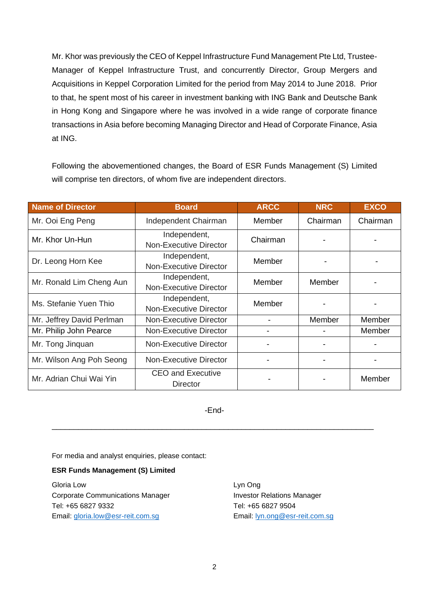Mr. Khor was previously the CEO of Keppel Infrastructure Fund Management Pte Ltd, Trustee-Manager of Keppel Infrastructure Trust, and concurrently Director, Group Mergers and Acquisitions in Keppel Corporation Limited for the period from May 2014 to June 2018. Prior to that, he spent most of his career in investment banking with ING Bank and Deutsche Bank in Hong Kong and Singapore where he was involved in a wide range of corporate finance transactions in Asia before becoming Managing Director and Head of Corporate Finance, Asia at ING.

Following the abovementioned changes, the Board of ESR Funds Management (S) Limited will comprise ten directors, of whom five are independent directors.

| <b>Name of Director</b>   | <b>Board</b>                                | <b>ARCC</b> | <b>NRC</b> | <b>EXCO</b> |
|---------------------------|---------------------------------------------|-------------|------------|-------------|
| Mr. Ooi Eng Peng          | Independent Chairman                        | Member      | Chairman   | Chairman    |
| Mr. Khor Un-Hun           | Independent,<br>Non-Executive Director      | Chairman    |            |             |
| Dr. Leong Horn Kee        | Independent,<br>Non-Executive Director      | Member      |            |             |
| Mr. Ronald Lim Cheng Aun  | Independent,<br>Non-Executive Director      | Member      | Member     |             |
| Ms. Stefanie Yuen Thio    | Independent,<br>Non-Executive Director      | Member      |            |             |
| Mr. Jeffrey David Perlman | Non-Executive Director                      |             | Member     | Member      |
| Mr. Philip John Pearce    | Non-Executive Director                      |             |            | Member      |
| Mr. Tong Jinquan          | <b>Non-Executive Director</b>               |             |            |             |
| Mr. Wilson Ang Poh Seong  | Non-Executive Director                      |             |            |             |
| Mr. Adrian Chui Wai Yin   | <b>CEO and Executive</b><br><b>Director</b> |             |            | Member      |

-End-

\_\_\_\_\_\_\_\_\_\_\_\_\_\_\_\_\_\_\_\_\_\_\_\_\_\_\_\_\_\_\_\_\_\_\_\_\_\_\_\_\_\_\_\_\_\_\_\_\_\_\_\_\_\_\_\_\_\_\_\_\_\_\_\_\_\_\_\_\_\_\_\_\_

For media and analyst enquiries, please contact:

#### **ESR Funds Management (S) Limited**

Gloria Low Lyn Ong Corporate Communications Manager Investor Relations Manager Tel: +65 6827 9332 Tel: +65 6827 9504 Email: [gloria.low@esr-reit.com.sg](mailto:gloria.low@esr-reit.com.sg) Email: [lyn.ong@esr-reit.com.sg](mailto:lyn.ong@esr-reit.com.sg)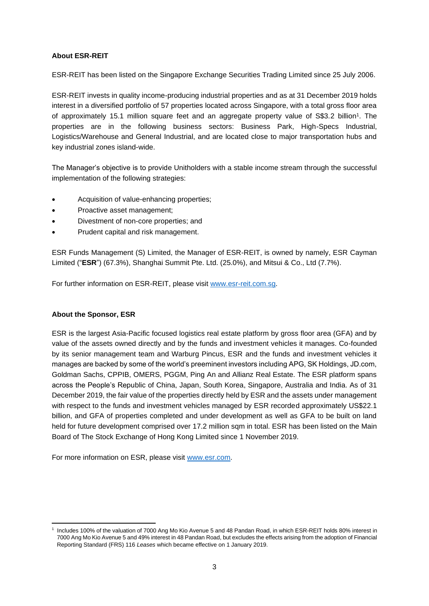### **About ESR-REIT**

ESR-REIT has been listed on the Singapore Exchange Securities Trading Limited since 25 July 2006.

ESR-REIT invests in quality income-producing industrial properties and as at 31 December 2019 holds interest in a diversified portfolio of 57 properties located across Singapore, with a total gross floor area of approximately 15.1 million square feet and an aggregate property value of S\$3.2 billion<sup>1</sup>. The properties are in the following business sectors: Business Park, High-Specs Industrial, Logistics/Warehouse and General Industrial, and are located close to major transportation hubs and key industrial zones island-wide.

The Manager's objective is to provide Unitholders with a stable income stream through the successful implementation of the following strategies:

- Acquisition of value-enhancing properties;
- Proactive asset management;
- Divestment of non-core properties; and
- Prudent capital and risk management.

ESR Funds Management (S) Limited, the Manager of ESR-REIT, is owned by namely, ESR Cayman Limited ("**ESR**") (67.3%), Shanghai Summit Pte. Ltd. (25.0%), and Mitsui & Co., Ltd (7.7%).

For further information on ESR-REIT, please visit [www.esr-reit.com.sg.](http://www.esr-reit.com.sg/)

#### **About the Sponsor, ESR**

ESR is the largest Asia-Pacific focused logistics real estate platform by gross floor area (GFA) and by value of the assets owned directly and by the funds and investment vehicles it manages. Co-founded by its senior management team and Warburg Pincus, ESR and the funds and investment vehicles it manages are backed by some of the world's preeminent investors including APG, SK Holdings, JD.com, Goldman Sachs, CPPIB, OMERS, PGGM, Ping An and Allianz Real Estate. The ESR platform spans across the People's Republic of China, Japan, South Korea, Singapore, Australia and India. As of 31 December 2019, the fair value of the properties directly held by ESR and the assets under management with respect to the funds and investment vehicles managed by ESR recorded approximately US\$22.1 billion, and GFA of properties completed and under development as well as GFA to be built on land held for future development comprised over 17.2 million sqm in total. ESR has been listed on the Main Board of The Stock Exchange of Hong Kong Limited since 1 November 2019.

For more information on ESR, please visit [www.esr.com.](https://apc01.safelinks.protection.outlook.com/?url=http%3A%2F%2Fwww.esr.com&data=02%7C01%7Cgloria.low%40esr-reit.com.sg%7Cb18ed7da682643de8b7008d766916f05%7C6ed733c0622d401d8f49b2984c7d765f%7C0%7C0%7C637090647129612986&sdata=hiUu8gk6thHcFkbiXEp08i9y2Ux64on2c0ivRFvmSek%3D&reserved=0)

<sup>1</sup> Includes 100% of the valuation of 7000 Ang Mo Kio Avenue 5 and 48 Pandan Road, in which ESR-REIT holds 80% interest in 7000 Ang Mo Kio Avenue 5 and 49% interest in 48 Pandan Road, but excludes the effects arising from the adoption of Financial Reporting Standard (FRS) 116 *Leases* which became effective on 1 January 2019.